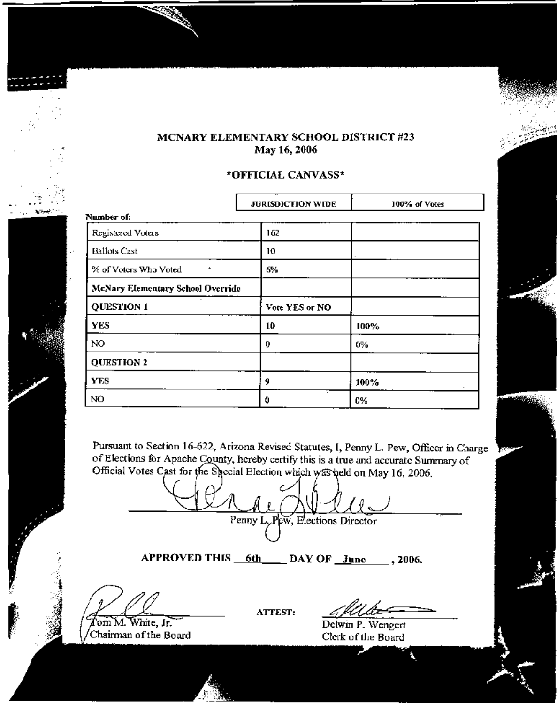## MCNARY ELEMENTARY SCHOOL DISTRICT #23 May 16, 2006

## \*OFFICIAL CANVASS\*

|                                          | <b>JURISDICTION WIDE</b> | 100% of Votes |  |  |  |  |  |  |
|------------------------------------------|--------------------------|---------------|--|--|--|--|--|--|
| Number of:                               |                          |               |  |  |  |  |  |  |
| Registered Voters                        | 162                      |               |  |  |  |  |  |  |
| <b>Ballots Cast</b>                      | 10                       |               |  |  |  |  |  |  |
| % of Voters Who Voted                    | 6%                       |               |  |  |  |  |  |  |
| <b>McNary Elementary School Override</b> |                          |               |  |  |  |  |  |  |
| <b>QUESTION 1</b>                        | Vote YES or NO           |               |  |  |  |  |  |  |
| <b>YES</b>                               | 10                       | 100%          |  |  |  |  |  |  |
| NO.                                      | 0                        | 0%            |  |  |  |  |  |  |
| <b>QUESTION 2</b>                        |                          |               |  |  |  |  |  |  |
| <b>YES</b>                               | 9                        | 100%          |  |  |  |  |  |  |
| NÓ                                       | 0                        | 0%            |  |  |  |  |  |  |

Pursuant to Section 16-622, Arizona Revised Statutes, I, Penny L. Pew, Officer in Charge of Elections for Apache County, hereby certify this is a true and accurate Summary of Official Votes Cast for the Special Election which was held on May 16, 2006.

Penny L. Pew, Elections Director

APPROVED THIS 6th DAY OF June ..., 2006.

A.7

**ATTEST:** 

Delwin P. Wengert Clerk of the Board

Tom M. White, Jr. Chairman of the Board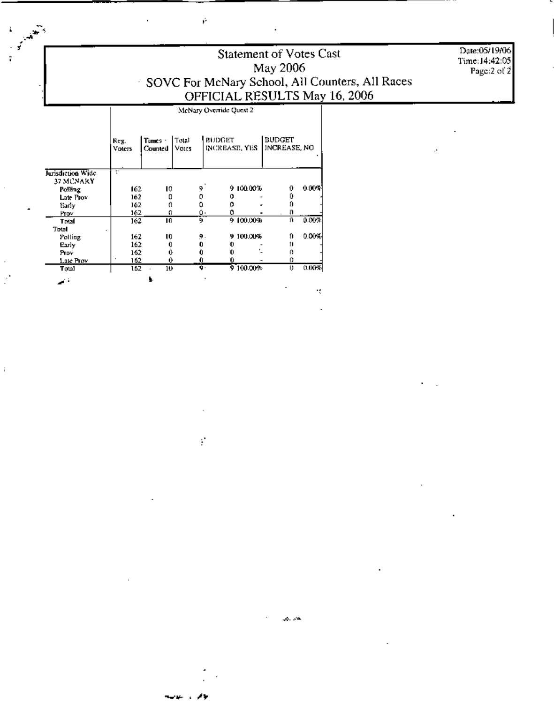Statement of Votes Cast May 2006 SOVC For McNary School, All Counters, All Races<br>OFFICIAL RESULTS May 16, 2006

H.

Date:05/19/06 Time: 14:42:05 Page:2 of 2

McNary Override Quest 2

ý.

|                                | Reg.<br><b>Voters</b> | Times -<br>Counted | Total<br>Votes | <b>BUDGET</b><br>INCREASE, YES |           | <b>BUDGET</b><br>INCREASE, NO |                      |
|--------------------------------|-----------------------|--------------------|----------------|--------------------------------|-----------|-------------------------------|----------------------|
| Jurisdiction Wide<br>37 MCNARY | Ŧ                     |                    |                |                                |           |                               |                      |
| Polling                        | 162                   | 10                 | Ŷ.             |                                | 9100.00%  | Ð                             | $0.009$ <sup>2</sup> |
| Late Provi                     | 162                   | ٥                  | o              |                                |           |                               |                      |
| Early                          | 162                   | ο                  | ۵              |                                |           |                               |                      |
| Prov                           | 162                   | Ω                  |                | ٥٠                             |           | o                             |                      |
| Total                          | 162                   | ю                  | ŋ              |                                | 9.100.00% | O.                            | 0.00%                |
| Total                          |                       |                    |                |                                |           |                               |                      |
| Polling                        | 162                   | 10                 | 9.             |                                | 9 100.00% | 0                             | 0.00%                |
| Early                          | 162                   | O                  | 0              |                                |           | o                             |                      |
| Prov                           | 162                   | 0                  |                |                                |           | ο                             |                      |
| Late Prov                      | 162                   | 0                  | 0              |                                |           | 0                             |                      |
| Total                          | 162                   | 10                 | ğ٠             |                                | 9 100.00% | 0                             | 0.00%                |
| $\Delta \sim 10$               |                       |                    |                |                                |           |                               |                      |

ŕ.

لحرارتها

Ý